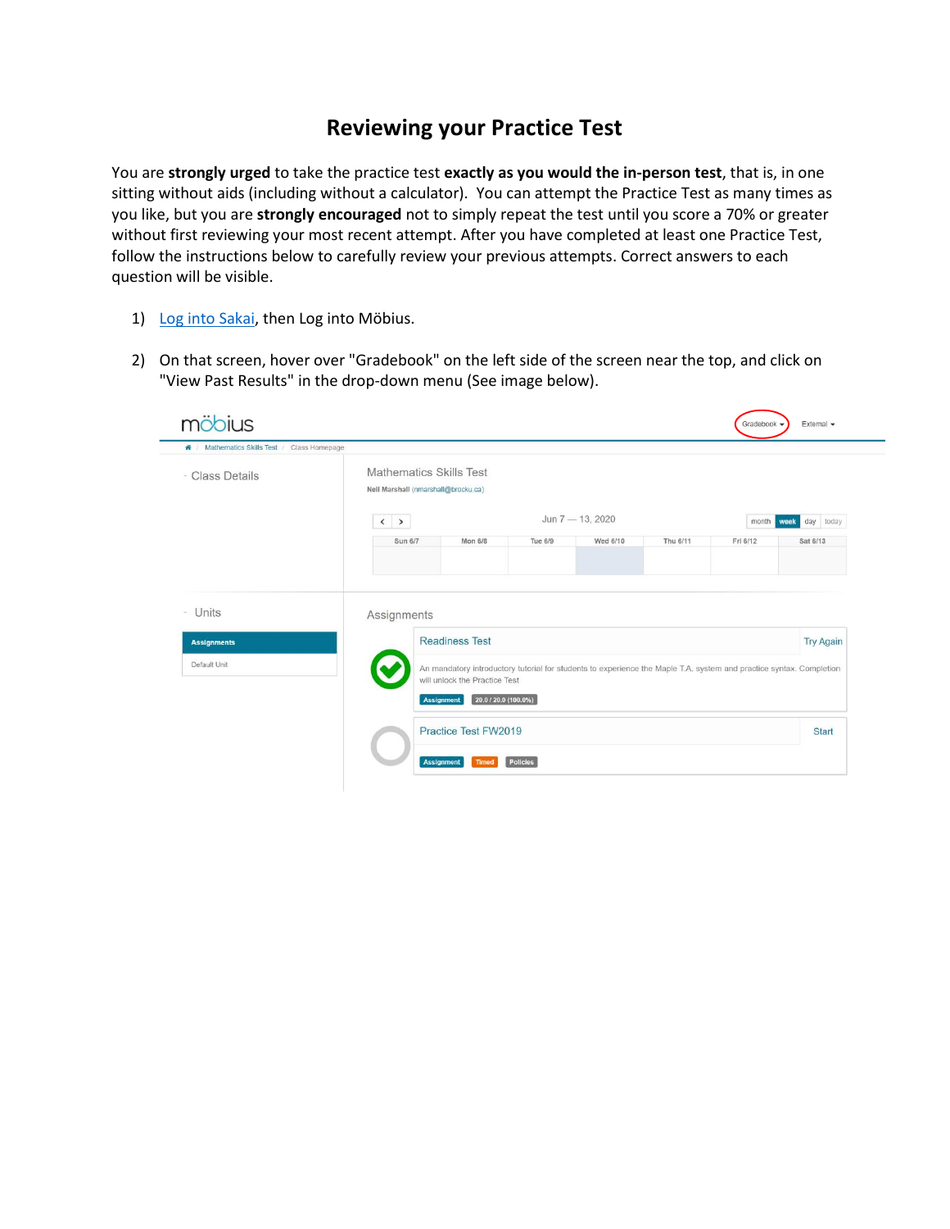## **Reviewing your Practice Test**

You are **strongly urged** to take the practice test **exactly as you would the in-person test**, that is, in one sitting without aids (including without a calculator). You can attempt the Practice Test as many times as you like, but you are **strongly encouraged** not to simply repeat the test until you score a 70% or greater without first reviewing your most recent attempt. After you have completed at least one Practice Test, follow the instructions below to carefully review your previous attempts. Correct answers to each question will be visible.

- 1) [Log into Sakai,](https://lms.brocku.ca/) then Log into Möbius.
- 2) On that screen, hover over "Gradebook" on the left side of the screen near the top, and click on "View Past Results" in the drop-down menu (See image below).

| - Class Details               | Mathematics Skills Test<br>Neil Marshall (nmarshall@brocku.ca) |                                                                                                                                             |                  |          |            |                  |
|-------------------------------|----------------------------------------------------------------|---------------------------------------------------------------------------------------------------------------------------------------------|------------------|----------|------------|------------------|
|                               | $\langle \quad \rangle$                                        |                                                                                                                                             | Jun 7 - 13, 2020 |          | month week | day today        |
|                               | Sun 6/7                                                        | Mon 6/8<br>Tue 6/9                                                                                                                          | Wed 6/10         | Thu 6/11 | Fri 6/12   | Sat 6/13         |
|                               |                                                                |                                                                                                                                             |                  |          |            |                  |
|                               | Assignments                                                    |                                                                                                                                             |                  |          |            |                  |
| - Units<br><b>Assignments</b> | <b>Readiness Test</b>                                          |                                                                                                                                             |                  |          |            | <b>Try Again</b> |
| Default Unit                  | will unlock the Practice Test<br>Assignment                    | An mandatory introductory tutorial for students to experience the Maple T.A. system and practice syntax. Completion<br>20.0 / 20.0 (100.0%) |                  |          |            |                  |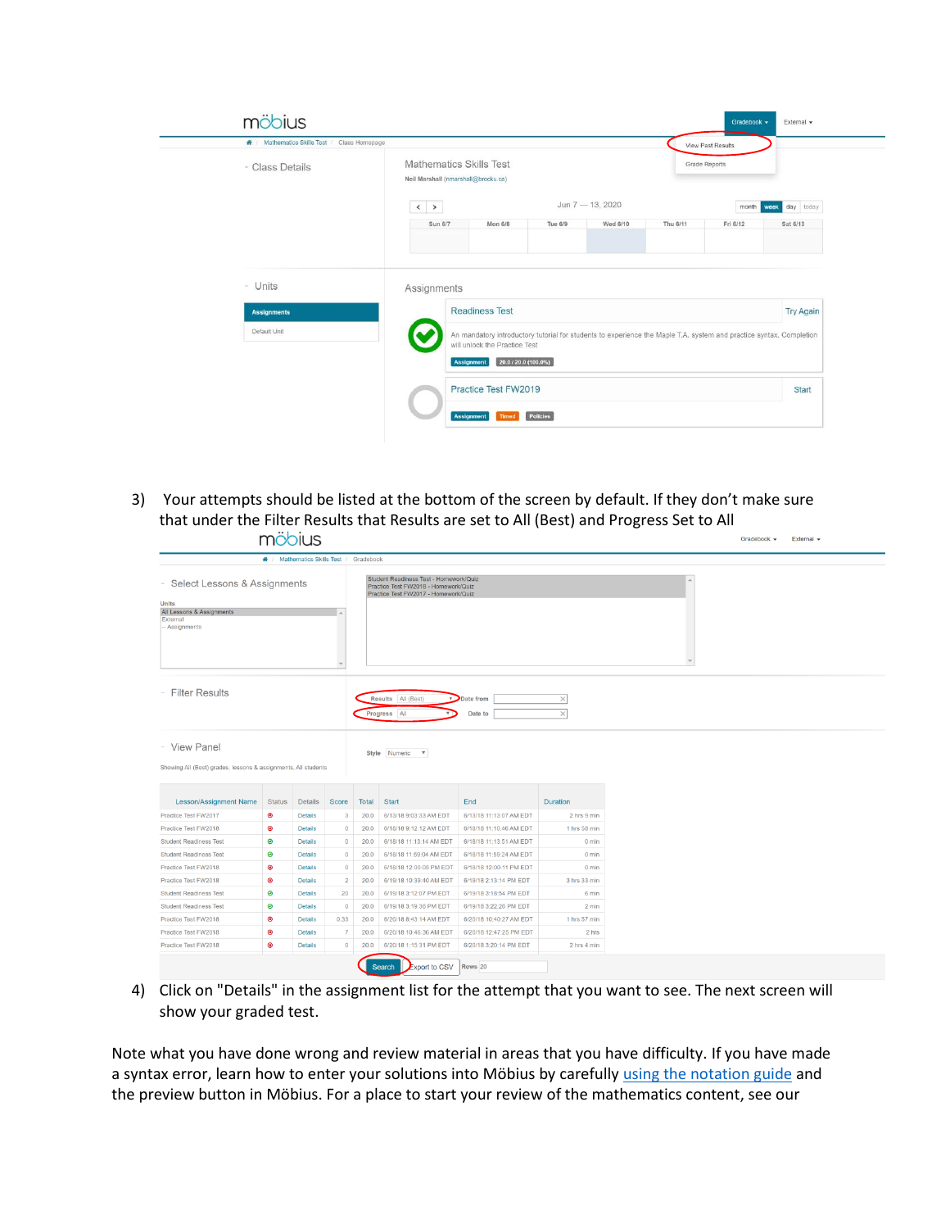| W / Mathematics Skills Test / Class Homepage |                   |                                                                                                                                                                                            |                  |          |                      | View Past Results |                   |  |
|----------------------------------------------|-------------------|--------------------------------------------------------------------------------------------------------------------------------------------------------------------------------------------|------------------|----------|----------------------|-------------------|-------------------|--|
| - Class Details                              |                   | <b>Mathematics Skills Test</b><br>Neil Marshall (nmarshall@brocku.ca)                                                                                                                      |                  |          | <b>Grade Reports</b> |                   |                   |  |
|                                              | $\langle \rangle$ |                                                                                                                                                                                            | Jun 7 - 13, 2020 |          | month                |                   | day today<br>week |  |
|                                              | Sun 6/7           | <b>Mon 6/8</b>                                                                                                                                                                             | Tue 6/9          | Wed 6/10 | Thu 6/11             | Fri 6/12          | Sat 6/13          |  |
|                                              |                   |                                                                                                                                                                                            |                  |          |                      |                   |                   |  |
| - Units<br><b>Assignments</b>                | Assignments       | <b>Readiness Test</b>                                                                                                                                                                      |                  |          |                      |                   | <b>Try Again</b>  |  |
| Default Unit                                 |                   | An mandatory introductory tutorial for students to experience the Maple T.A. system and practice syntax. Completion<br>will unlock the Practice Test<br>20.0 / 20.0 (100.0%)<br>Assignment |                  |          |                      |                   |                   |  |

3) Your attempts should be listed at the bottom of the screen by default. If they don't make sure that under the Filter Results that Results are set to All (Best) and Progress Set to All<br>moonius Gradebook  $\star$  External  $\star$ 

|                                                                                                        | ₩ / Mathematics Skills Test / Gradebook |                                  |                           |              |                                                                                                                        |                                                    |                                    |  |  |  |
|--------------------------------------------------------------------------------------------------------|-----------------------------------------|----------------------------------|---------------------------|--------------|------------------------------------------------------------------------------------------------------------------------|----------------------------------------------------|------------------------------------|--|--|--|
| Select Lessons & Assignments<br><b>Units</b><br>All Lessons & Assignments<br>External<br>- Assignments |                                         |                                  |                           |              | Student Readiness Test - Homework/Quiz<br>Practice Test FW2018 - Homework/Quiz<br>Practice Test FW2017 - Homework/Quiz |                                                    |                                    |  |  |  |
| <b>Filter Results</b>                                                                                  |                                         |                                  |                           |              | Results All (Best)<br>уD<br>Progress All                                                                               | Date from<br>Date to                               | $\times$<br>$\times$               |  |  |  |
|                                                                                                        |                                         |                                  |                           |              |                                                                                                                        |                                                    |                                    |  |  |  |
| - View Panel<br>Showing All (Best) grades, lessons & assignments, All students                         |                                         |                                  |                           |              | Style Numeric<br>$\mathbf{v}$                                                                                          |                                                    |                                    |  |  |  |
| <b>Lesson/Assignment Name</b>                                                                          | <b>Status</b>                           | <b>Details</b>                   | Score                     | Total        | <b>Start</b>                                                                                                           | End                                                | <b>Duration</b>                    |  |  |  |
| Practice Test FW2017                                                                                   | $\bullet$                               | <b>Details</b>                   | 3                         | 20.0         | 6/13/18 9:03:33 AM EDT                                                                                                 | 6/13/18 11:13:07 AM EDT                            | 2 hrs 9 min                        |  |  |  |
| Practice Test FW2018                                                                                   | $\bullet$                               | <b>Details</b>                   | $\bf{0}$                  | 20.0         | 6/18/18 9:12:12 AM EDT                                                                                                 | 6/18/18 11:10:46 AM EDT                            | 1 hrs 58 min                       |  |  |  |
| <b>Student Readiness Test</b>                                                                          | ◉                                       | <b>Details</b>                   | $\circ$                   | 20.0         | 6/18/18 11:13:14 AM EDT                                                                                                | 6/18/18 11:13:51 AM EDT                            | $0$ min                            |  |  |  |
| <b>Student Readiness Test</b><br>Practice Test FW2018                                                  | $\circledcirc$                          | <b>Details</b><br><b>Details</b> | $\overline{0}$<br>$\circ$ | 20.0<br>20.0 | 6/18/18 11:59:04 AM EDT<br>6/18/18 12:00:05 PM EDT                                                                     | 6/18/18 11:59:24 AM EDT<br>6/18/18 12:00:11 PM EDT | $0 \text{ min}$<br>$0 \text{ min}$ |  |  |  |
| Practice Test FW2018                                                                                   | $\bullet$<br>$\circledcirc$             | <b>Details</b>                   | $\overline{2}$            | 20.0         | 6/19/18 10:39:40 AM EDT                                                                                                | 6/19/18 2:13:14 PM EDT                             | 3 hrs 33 min                       |  |  |  |
| <b>Student Readiness Test</b>                                                                          | $\bullet$                               | <b>Details</b>                   | 20                        | 20.0         | 6/19/18 3:12:07 PM EDT                                                                                                 | 6/19/18 3:18:54 PM EDT                             | 6 min                              |  |  |  |
| <b>Student Readiness Test</b>                                                                          | $\bullet$                               | <b>Details</b>                   | $\overline{0}$            | 20.0         | 6/19/18 3:19:36 PM EDT                                                                                                 | 6/19/18 3:22:26 PM EDT                             | $2 \text{ min}$                    |  |  |  |
| Practice Test FW2018                                                                                   | $\bullet$                               | <b>Details</b>                   | 0.33                      | 20.0         | 6/20/18 8:43:14 AM EDT                                                                                                 | 6/20/18 10:40:27 AM EDT                            | 1 hrs 57 min                       |  |  |  |
| Practice Test FW2018                                                                                   | $\bullet$                               | <b>Details</b>                   | $\overline{7}$            | 20.0         | 6/20/18 10:46:36 AM EDT                                                                                                | 6/20/18 12:47:25 PM EDT                            | 2 hrs                              |  |  |  |

4) Click on "Details" in the assignment list for the attempt that you want to see. The next screen will show your graded test.

Note what you have done wrong and review material in areas that you have difficulty. If you have made a syntax error, learn how to enter your solutions into Möbius by carefull[y using the notation guide](https://brocku.ca/webfm_send/44403) and the preview button in Möbius. For a place to start your review of the mathematics content, see our